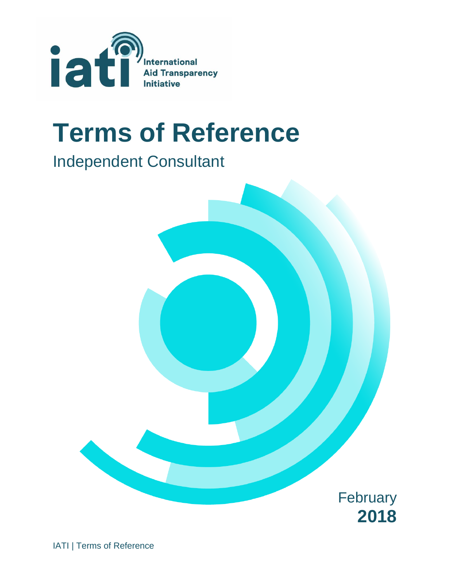

# **Terms of Reference**

## Independent Consultant



IATI | Terms of Reference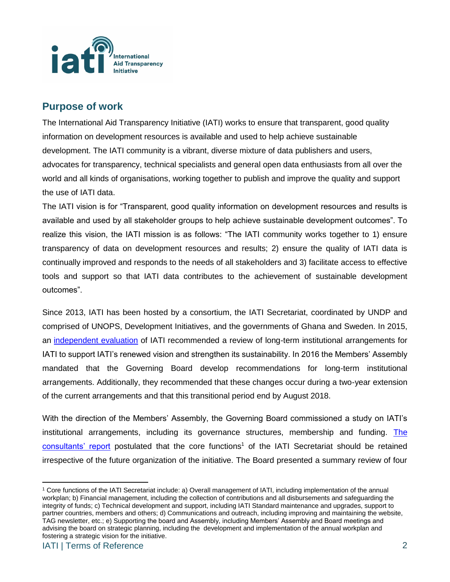

#### **Purpose of work**

The International Aid Transparency Initiative (IATI) works to ensure that transparent, good quality information on development resources is available and used to help achieve sustainable development. The IATI community is a vibrant, diverse mixture of data publishers and users, advocates for transparency, technical specialists and general open data enthusiasts from all over the world and all kinds of organisations, working together to publish and improve the quality and support the use of IATI data.

The IATI vision is for "Transparent, good quality information on development resources and results is available and used by all stakeholder groups to help achieve sustainable development outcomes". To realize this vision, the IATI mission is as follows: "The IATI community works together to 1) ensure transparency of data on development resources and results; 2) ensure the quality of IATI data is continually improved and responds to the needs of all stakeholders and 3) facilitate access to effective tools and support so that IATI data contributes to the achievement of sustainable development outcomes".

Since 2013, IATI has been hosted by a consortium, the IATI Secretariat, coordinated by UNDP and comprised of UNOPS, Development Initiatives, and the governments of Ghana and Sweden. In 2015, an [independent evaluation](http://www.aidtransparency.net/governance/evaluation) of IATI recommended a review of long-term institutional arrangements for IATI to support IATI's renewed vision and strengthen its sustainability. In 2016 the Members' Assembly mandated that the Governing Board develop recommendations for long-term institutional arrangements. Additionally, they recommended that these changes occur during a two-year extension of the current arrangements and that this transitional period end by August 2018.

With the direction of the Members' Assembly, the Governing Board commissioned a study on IATI's institutional arrangements, including its governance structures, membership and funding. The [consultants' report](https://www.aidtransparency.net/wp-content/uploads/2017/09/Recommendations-for-the-long-term-institutional-arrangements-for-the-International-Aid-Transparency-Initiative-August-2017.pdf) postulated that the core functions<sup>1</sup> of the IATI Secretariat should be retained irrespective of the future organization of the initiative. The Board presented a summary review of four

 $\overline{a}$ <sup>1</sup> Core functions of the IATI Secretariat include: a) Overall management of IATI, including implementation of the annual workplan; b) Financial management, including the collection of contributions and all disbursements and safeguarding the integrity of funds; c) Technical development and support, including IATI Standard maintenance and upgrades, support to partner countries, members and others; d) Communications and outreach, including improving and maintaining the website, TAG newsletter, etc.; e) Supporting the board and Assembly, including Members' Assembly and Board meetings and advising the board on strategic planning, including the development and implementation of the annual workplan and fostering a strategic vision for the initiative.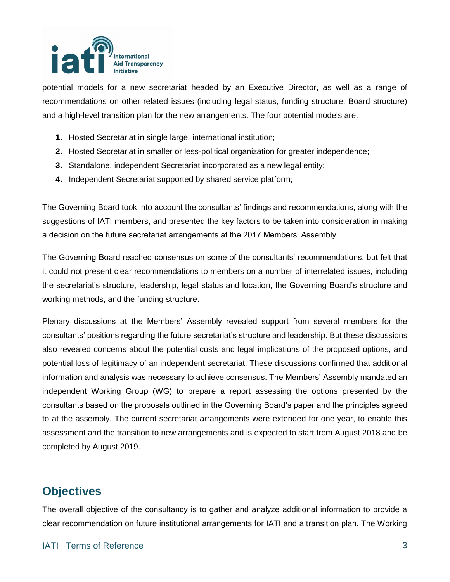

potential models for a new secretariat headed by an Executive Director, as well as a range of recommendations on other related issues (including legal status, funding structure, Board structure) and a high-level transition plan for the new arrangements. The four potential models are:

- **1.** Hosted Secretariat in single large, international institution;
- **2.** Hosted Secretariat in smaller or less-political organization for greater independence;
- **3.** Standalone, independent Secretariat incorporated as a new legal entity;
- **4.** Independent Secretariat supported by shared service platform;

The Governing Board took into account the consultants' findings and recommendations, along with the suggestions of IATI members, and presented the key factors to be taken into consideration in making a decision on the future secretariat arrangements at the 2017 Members' Assembly.

The Governing Board reached consensus on some of the consultants' recommendations, but felt that it could not present clear recommendations to members on a number of interrelated issues, including the secretariat's structure, leadership, legal status and location, the Governing Board's structure and working methods, and the funding structure.

Plenary discussions at the Members' Assembly revealed support from several members for the consultants' positions regarding the future secretariat's structure and leadership. But these discussions also revealed concerns about the potential costs and legal implications of the proposed options, and potential loss of legitimacy of an independent secretariat. These discussions confirmed that additional information and analysis was necessary to achieve consensus. The Members' Assembly mandated an independent Working Group (WG) to prepare a report assessing the options presented by the consultants based on the proposals outlined in the Governing Board's paper and the principles agreed to at the assembly. The current secretariat arrangements were extended for one year, to enable this assessment and the transition to new arrangements and is expected to start from August 2018 and be completed by August 2019.

### **Objectives**

The overall objective of the consultancy is to gather and analyze additional information to provide a clear recommendation on future institutional arrangements for IATI and a transition plan. The Working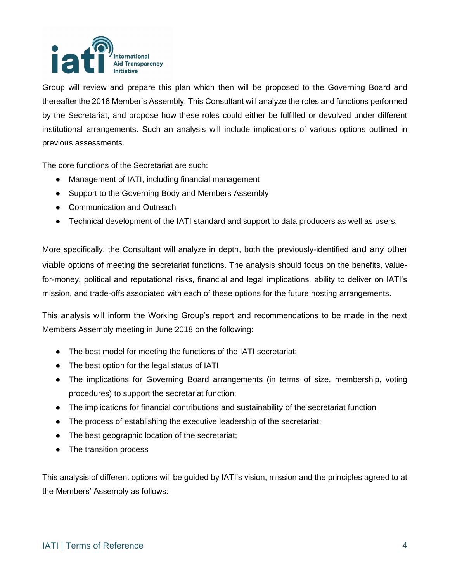

Group will review and prepare this plan which then will be proposed to the Governing Board and thereafter the 2018 Member's Assembly. This Consultant will analyze the roles and functions performed by the Secretariat, and propose how these roles could either be fulfilled or devolved under different institutional arrangements. Such an analysis will include implications of various options outlined in previous assessments.

The core functions of the Secretariat are such:

- Management of IATI, including financial management
- Support to the Governing Body and Members Assembly
- Communication and Outreach
- Technical development of the IATI standard and support to data producers as well as users.

More specifically, the Consultant will analyze in depth, both the previously-identified and any other viable options of meeting the secretariat functions. The analysis should focus on the benefits, valuefor-money, political and reputational risks, financial and legal implications, ability to deliver on IATI's mission, and trade-offs associated with each of these options for the future hosting arrangements.

This analysis will inform the Working Group's report and recommendations to be made in the next Members Assembly meeting in June 2018 on the following:

- The best model for meeting the functions of the IATI secretariat;
- The best option for the legal status of IATI
- The implications for Governing Board arrangements (in terms of size, membership, voting procedures) to support the secretariat function;
- The implications for financial contributions and sustainability of the secretariat function
- The process of establishing the executive leadership of the secretariat;
- The best geographic location of the secretariat;
- The transition process

This analysis of different options will be guided by IATI's vision, mission and the principles agreed to at the Members' Assembly as follows: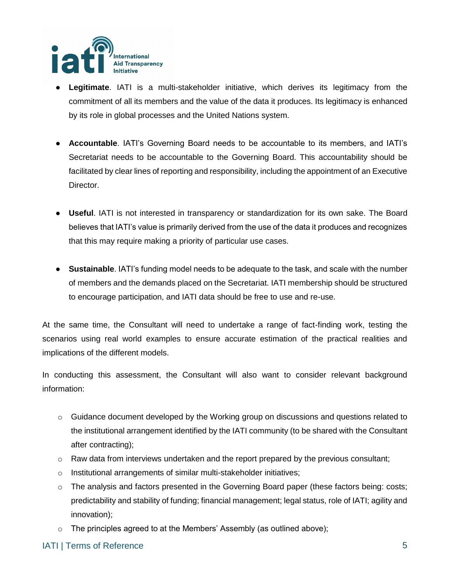

- **Legitimate**. IATI is a multi-stakeholder initiative, which derives its legitimacy from the commitment of all its members and the value of the data it produces. Its legitimacy is enhanced by its role in global processes and the United Nations system.
- **Accountable**. IATI's Governing Board needs to be accountable to its members, and IATI's Secretariat needs to be accountable to the Governing Board. This accountability should be facilitated by clear lines of reporting and responsibility, including the appointment of an Executive Director.
- **Useful**. IATI is not interested in transparency or standardization for its own sake. The Board believes that IATI's value is primarily derived from the use of the data it produces and recognizes that this may require making a priority of particular use cases.
- **Sustainable**. IATI's funding model needs to be adequate to the task, and scale with the number of members and the demands placed on the Secretariat. IATI membership should be structured to encourage participation, and IATI data should be free to use and re-use.

At the same time, the Consultant will need to undertake a range of fact-finding work, testing the scenarios using real world examples to ensure accurate estimation of the practical realities and implications of the different models.

In conducting this assessment, the Consultant will also want to consider relevant background information:

- $\circ$  Guidance document developed by the Working group on discussions and questions related to the institutional arrangement identified by the IATI community (to be shared with the Consultant after contracting);
- $\circ$  Raw data from interviews undertaken and the report prepared by the previous consultant;
- o Institutional arrangements of similar multi-stakeholder initiatives;
- $\circ$  The analysis and factors presented in the Governing Board paper (these factors being: costs; predictability and stability of funding; financial management; legal status, role of IATI; agility and innovation);
- o The principles agreed to at the Members' Assembly (as outlined above);

#### IATI | Terms of Reference 5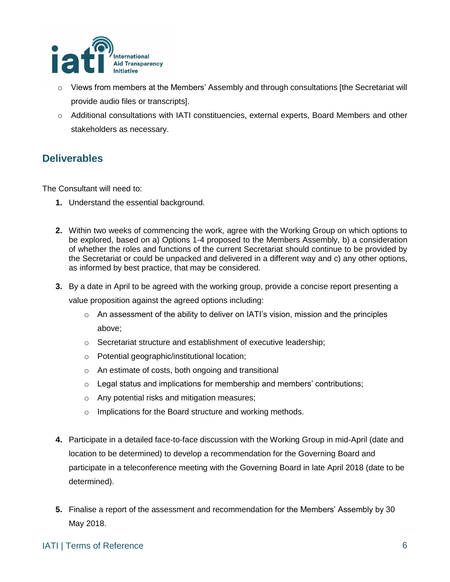

- $\circ$  Views from members at the Members' Assembly and through consultations [the Secretariat will provide audio files or transcripts].
- $\circ$  Additional consultations with IATI constituencies, external experts, Board Members and other stakeholders as necessary.

#### **Deliverables**

The Consultant will need to:

- **1.** Understand the essential background.
- **2.** Within two weeks of commencing the work, agree with the Working Group on which options to be explored, based on a) Options 1-4 proposed to the Members Assembly, b) a consideration of whether the roles and functions of the current Secretariat should continue to be provided by the Secretariat or could be unpacked and delivered in a different way and c) any other options, as informed by best practice, that may be considered.
- **3.** By a date in April to be agreed with the working group, provide a concise report presenting a value proposition against the agreed options including:
	- $\circ$  An assessment of the ability to deliver on IATI's vision, mission and the principles above;
	- o Secretariat structure and establishment of executive leadership;
	- o Potential geographic/institutional location;
	- o An estimate of costs, both ongoing and transitional
	- o Legal status and implications for membership and members' contributions;
	- o Any potential risks and mitigation measures;
	- o Implications for the Board structure and working methods.
- **4.** Participate in a detailed face-to-face discussion with the Working Group in mid-April (date and location to be determined) to develop a recommendation for the Governing Board and participate in a teleconference meeting with the Governing Board in late April 2018 (date to be determined).
- **5.** Finalise a report of the assessment and recommendation for the Members' Assembly by 30 May 2018.

#### IATI | Terms of Reference 6